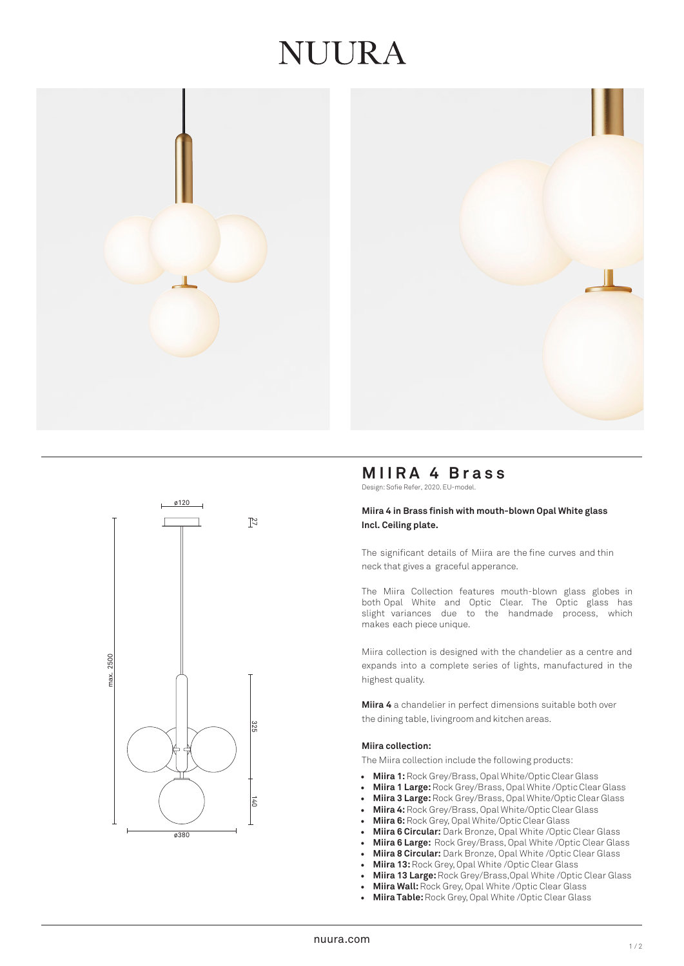# JUUR A







# **MIIRA 4 Brass**

Design: Sofie Refer, 2020. EU-model.

# **Miira 4 in Brass finish with mouth-blown Opal White glass Incl. Ceiling plate.**

The significant details of Miira are the fine curves and thin neck that gives a graceful apperance.

The Miira Collection features mouth-blown glass globes in both Opal White and Optic Clear. The Optic glass has slight variances due to the handmade process, which makes each piece unique.

Miira collection is designed with the chandelier as a centre and expands into a complete series of lights, manufactured in the highest quality.

**Miira 4** a chandelier in perfect dimensions suitable both over the dining table, livingroom and kitchen areas.

# **Miira collection:**

The Miira collection include the following products:

- **Miira 1:**Rock Grey/Brass, Opal White/Optic Clear Glass
- **Miira 1 Large:** Rock Grey/Brass, Opal White /Optic Clear Glass
- **Miira 3 Large:** Rock Grey/Brass, Opal White/Optic Clear Glass
- **Miira 4:**Rock Grey/Brass, Opal White/Optic Clear Glass
- **Miira 6:**Rock Grey, Opal White/Optic Clear Glass
- **Miira 6 Circular:** Dark Bronze, Opal White /Optic Clear Glass
- **Miira 6 Large:** Rock Grey/Brass, Opal White /Optic Clear Glass
- **Miira 8 Circular:** Dark Bronze, Opal White /Optic Clear Glass
- **Miira 13:** Rock Grey, Opal White /Optic Clear Glass
- **Miira 13 Large:** Rock Grey/Brass,Opal White /Optic Clear Glass
- **Miira Wall:**Rock Grey, Opal White /Optic Clear Glass
- **Miira Table:** Rock Grey, Opal White /Optic Clear Glass